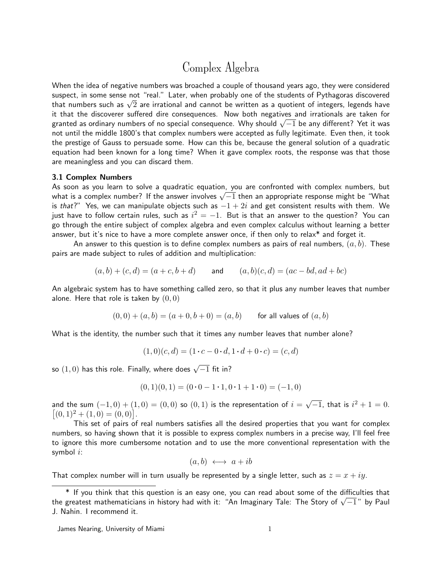# Complex Algebra

When the idea of negative numbers was broached a couple of thousand years ago, they were considered suspect, in some sense not "real." Later, when probably one of the students of Pythagoras discovered suspect, in some sense not "reai. "Later, wnen probably one of the students of Pythagoras discovered<br>that numbers such as  $\sqrt{2}$  are irrational and cannot be written as a quotient of integers, legends have it that the discoverer suffered dire consequences. Now both negatives and irrationals are taken for nt that the discoverer suffered dire consequences. Now both negatives and irrationals are taken for<br>granted as ordinary numbers of no special consequence. Why should √−1 be any different? Yet it was not until the middle 1800's that complex numbers were accepted as fully legitimate. Even then, it took the prestige of Gauss to persuade some. How can this be, because the general solution of a quadratic equation had been known for a long time? When it gave complex roots, the response was that those are meaningless and you can discard them.

### 3.1 Complex Numbers

As soon as you learn to solve a quadratic equation, you are confronted with complex numbers, but As soon as you learn to solve a quadratic equation, you are confronted with complex numbers, but<br>what is a complex number? If the answer involves  $\sqrt{-1}$  then an appropriate response might be "What is that?" Yes, we can manipulate objects such as  $-1 + 2i$  and get consistent results with them. We just have to follow certain rules, such as  $i^2=-1$ . But is that an answer to the question? You can go through the entire subject of complex algebra and even complex calculus without learning a better answer, but it's nice to have a more complete answer once, if then only to relax\* and forget it.

An answer to this question is to define complex numbers as pairs of real numbers,  $(a, b)$ . These pairs are made subject to rules of addition and multiplication:

$$
(a, b) + (c, d) = (a + c, b + d)
$$
 and  $(a, b)(c, d) = (ac - bd, ad + bc)$ 

An algebraic system has to have something called zero, so that it plus any number leaves that number alone. Here that role is taken by  $(0, 0)$ 

$$
(0,0) + (a,b) = (a+0,b+0) = (a,b)
$$
 for all values of  $(a,b)$ 

What is the identity, the number such that it times any number leaves that number alone?

$$
(1,0)(c,d) = (1 \cdot c - 0 \cdot d, 1 \cdot d + 0 \cdot c) = (c,d)
$$

so  $(1,0)$  has this role. Finally, where does  $\sqrt{-1}$  fit in?

$$
(0,1)(0,1) = (0 \cdot 0 - 1 \cdot 1, 0 \cdot 1 + 1 \cdot 0) = (-1,0)
$$

and the sum  $(-1,0) + (1,0) = (0,0)$  so  $(0,1)$  is the representation of  $i = \sqrt{-1}$ , that is  $i^2 + 1 = 0$ .  $[(0, 1)^{2} + (1, 0) = (0, 0)].$ 

This set of pairs of real numbers satisfies all the desired properties that you want for complex numbers, so having shown that it is possible to express complex numbers in a precise way, I'll feel free to ignore this more cumbersome notation and to use the more conventional representation with the symbol  $i$ :

$$
(a, b) \leftrightarrow a + ib
$$

That complex number will in turn usually be represented by a single letter, such as  $z = x + iy$ .

<sup>\*</sup> If you think that this question is an easy one, you can read about some of the difficulties that the greatest mathematicians in history had with it: "An Imaginary Tale: The Story of √ $\overline{-1}$ " by Paul the greatest mathematicians in history had with it: "An Imaginary Tale: The Story of √ $\overline{-1}$ " by Paul J. Nahin. I recommend it.

James Nearing, University of Miami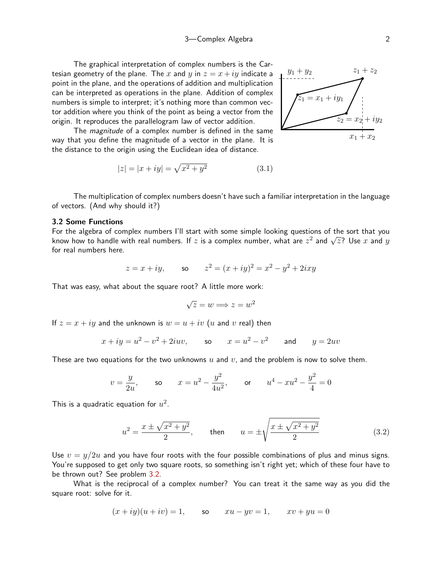The graphical interpretation of complex numbers is the Cartesian geometry of the plane. The x and y in  $z = x + iy$  indicate a point in the plane, and the operations of addition and multiplication can be interpreted as operations in the plane. Addition of complex numbers is simple to interpret; it's nothing more than common vector addition where you think of the point as being a vector from the origin. It reproduces the parallelogram law of vector addition.

 $= x_1 + iy$  $z_2 = x_2 + iy_2$  $y_1 + y_2$  $z_1 + z_2$  $x_1 + x_2$ 

The *magnitude* of a complex number is defined in the same way that you define the magnitude of a vector in the plane. It is the distance to the origin using the Euclidean idea of distance.

$$
|z| = |x + iy| = \sqrt{x^2 + y^2}
$$
 (3.1)

The multiplication of complex numbers doesn't have such a familiar interpretation in the language of vectors. (And why should it?)

# 3.2 Some Functions

For the algebra of complex numbers I'll start with some simple looking questions of the sort that you For the algebra of complex numbers I if start with some simple looking questions of the sort that you<br>know how to handle with real numbers. If z is a complex number, what are  $z^2$  and  $\sqrt{z}$ ? Use x and y for real numbers here.

$$
z = x + iy
$$
, so  $z^2 = (x + iy)^2 = x^2 - y^2 + 2ixy$ 

That was easy, what about the square root? A little more work:

<span id="page-1-0"></span>
$$
\sqrt{z} = w \Longrightarrow z = w^2
$$

If  $z = x + iy$  and the unknown is  $w = u + iv$  (u and v real) then

$$
x + iy = u2 - v2 + 2iuv, \t so \t x = u2 - v2 \t and \t y = 2uv
$$

These are two equations for the two unknowns  $u$  and  $v$ , and the problem is now to solve them.

$$
v = \frac{y}{2u}
$$
, so  $x = u^2 - \frac{y^2}{4u^2}$ , or  $u^4 - xu^2 - \frac{y^2}{4} = 0$ 

This is a quadratic equation for  $u^2.$ 

$$
u^{2} = \frac{x \pm \sqrt{x^{2} + y^{2}}}{2}, \text{ then } u = \pm \sqrt{\frac{x \pm \sqrt{x^{2} + y^{2}}}{2}}
$$
(3.2)

Use  $v = y/2u$  and you have four roots with the four possible combinations of plus and minus signs. You're supposed to get only two square roots, so something isn't right yet; which of these four have to be thrown out? See problem [3.2.](#page-9-0)

What is the reciprocal of a complex number? You can treat it the same way as you did the square root: solve for it.

$$
(x+iy)(u+iv) = 1, \qquad \text{so} \qquad xu - yv = 1, \qquad xv + yu = 0
$$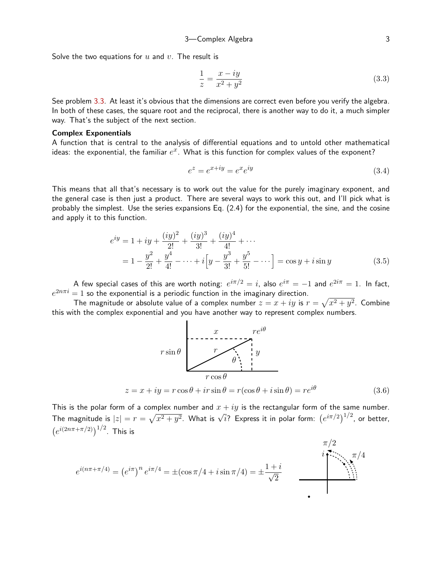Solve the two equations for  $u$  and  $v$ . The result is

<span id="page-2-1"></span>
$$
\frac{1}{z} = \frac{x - iy}{x^2 + y^2} \tag{3.3}
$$

See problem [3.3.](#page-9-1) At least it's obvious that the dimensions are correct even before you verify the algebra. In both of these cases, the square root and the reciprocal, there is another way to do it, a much simpler way. That's the subject of the next section.

#### Complex Exponentials

A function that is central to the analysis of differential equations and to untold other mathematical ideas: the exponential, the familiar  $e^x$ . What is this function for complex values of the exponent?

<span id="page-2-2"></span>
$$
e^z = e^{x+iy} = e^x e^{iy} \tag{3.4}
$$

This means that all that's necessary is to work out the value for the purely imaginary exponent, and the general case is then just a product. There are several ways to work this out, and I'll pick what is probably the simplest. Use the series expansions Eq. (2.4) for the exponential, the sine, and the cosine and apply it to this function.

$$
e^{iy} = 1 + iy + \frac{(iy)^2}{2!} + \frac{(iy)^3}{3!} + \frac{(iy)^4}{4!} + \cdots
$$
  
=  $1 - \frac{y^2}{2!} + \frac{y^4}{4!} - \cdots + i\left[y - \frac{y^3}{3!} + \frac{y^5}{5!} - \cdots\right] = \cos y + i\sin y$  (3.5)

A few special cases of this are worth noting:  $e^{i\pi/2}=i$ , also  $e^{i\pi}=-1$  and  $e^{2i\pi}=1$ . In fact,  $e^{2n\pi i} = 1$  so the exponential is a periodic function in the imaginary direction.

The magnitude or absolute value of a complex number  $z = x + iy$  is  $r = \sqrt{x^2 + y^2}$ . Combine this with the complex exponential and you have another way to represent complex numbers.

<span id="page-2-0"></span>

This is the polar form of a complex number and  $x + iy$  is the rectangular form of the same number. The magnitude is  $|z| = r = \sqrt{x^2 + y^2}$ . What is  $\sqrt{i}$ ? Express it in polar form:  $(e^{i\pi/2})^{1/2}$ , or better,  $(e^{i(2n\pi + \pi/2)})^{1/2}$ . This is

$$
e^{i(n\pi + \pi/4)} = (e^{i\pi})^n e^{i\pi/4} = \pm(\cos\pi/4 + i\sin\pi/4) = \pm \frac{1+i}{\sqrt{2}}
$$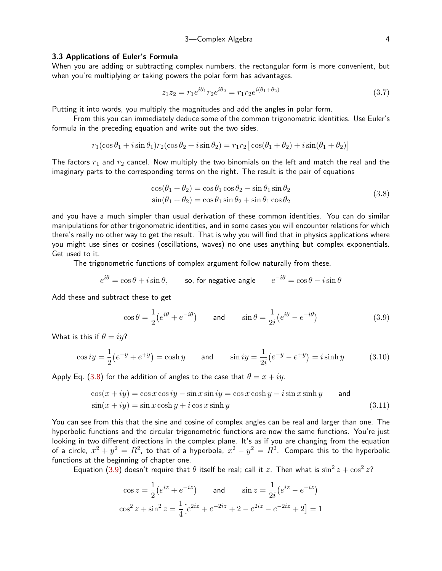## 3—Complex Algebra 4

#### 3.3 Applications of Euler's Formula

When you are adding or subtracting complex numbers, the rectangular form is more convenient, but when you're multiplying or taking powers the polar form has advantages.

$$
z_1 z_2 = r_1 e^{i\theta_1} r_2 e^{i\theta_2} = r_1 r_2 e^{i(\theta_1 + \theta_2)} \tag{3.7}
$$

Putting it into words, you multiply the magnitudes and add the angles in polar form.

From this you can immediately deduce some of the common trigonometric identities. Use Euler's formula in the preceding equation and write out the two sides.

$$
r_1(\cos\theta_1 + i\sin\theta_1)r_2(\cos\theta_2 + i\sin\theta_2) = r_1r_2[\cos(\theta_1 + \theta_2) + i\sin(\theta_1 + \theta_2)]
$$

The factors  $r_1$  and  $r_2$  cancel. Now multiply the two binomials on the left and match the real and the imaginary parts to the corresponding terms on the right. The result is the pair of equations

<span id="page-3-0"></span>
$$
\cos(\theta_1 + \theta_2) = \cos\theta_1 \cos\theta_2 - \sin\theta_1 \sin\theta_2 \n\sin(\theta_1 + \theta_2) = \cos\theta_1 \sin\theta_2 + \sin\theta_1 \cos\theta_2
$$
\n(3.8)

and you have a much simpler than usual derivation of these common identities. You can do similar manipulations for other trigonometric identities, and in some cases you will encounter relations for which there's really no other way to get the result. That is why you will find that in physics applications where you might use sines or cosines (oscillations, waves) no one uses anything but complex exponentials. Get used to it.

The trigonometric functions of complex argument follow naturally from these.

$$
e^{i\theta} = \cos \theta + i \sin \theta
$$
, so, for negative angle  $e^{-i\theta} = \cos \theta - i \sin \theta$ 

Add these and subtract these to get

<span id="page-3-1"></span>
$$
\cos \theta = \frac{1}{2} (e^{i\theta} + e^{-i\theta}) \qquad \text{and} \qquad \sin \theta = \frac{1}{2i} (e^{i\theta} - e^{-i\theta}) \tag{3.9}
$$

What is this if  $\theta = iy$ ?

$$
\cos iy = \frac{1}{2}(e^{-y} + e^{+y}) = \cosh y \qquad \text{and} \qquad \sin iy = \frac{1}{2i}(e^{-y} - e^{+y}) = i\sinh y \tag{3.10}
$$

Apply Eq. [\(3.8\)](#page-3-0) for the addition of angles to the case that  $\theta = x + iy$ .

$$
\cos(x + iy) = \cos x \cos iy - \sin x \sin iy = \cos x \cosh y - i \sin x \sinh y \quad \text{and}
$$
  

$$
\sin(x + iy) = \sin x \cosh y + i \cos x \sinh y \quad (3.11)
$$

You can see from this that the sine and cosine of complex angles can be real and larger than one. The hyperbolic functions and the circular trigonometric functions are now the same functions. You're just looking in two different directions in the complex plane. It's as if you are changing from the equation of a circle,  $x^2 + y^2 = R^2$ , to that of a hyperbola,  $x^2 - y^2 = R^2$ . Compare this to the hyperbolic functions at the beginning of chapter one.

Equation ([3.9\)](#page-3-1) doesn't require that  $\theta$  itself be real; call it  $z$ . Then what is  $\sin^2 z + \cos^2 z$ ?

<span id="page-3-2"></span>
$$
\cos z = \frac{1}{2} (e^{iz} + e^{-iz}) \quad \text{and} \quad \sin z = \frac{1}{2i} (e^{iz} - e^{-iz})
$$

$$
\cos^2 z + \sin^2 z = \frac{1}{4} [e^{2iz} + e^{-2iz} + 2 - e^{2iz} - e^{-2iz} + 2] = 1
$$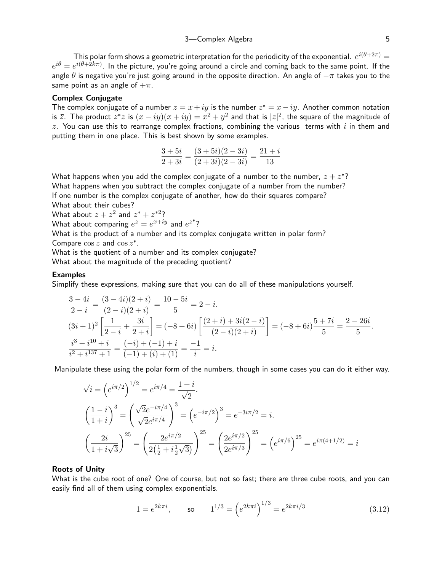This polar form shows a geometric interpretation for the periodicity of the exponential.  $\,e^{i(\theta + 2\pi)} =$  $e^{i\theta}=e^{i(\theta+2k\pi)}$ . In the picture, you're going around a circle and coming back to the same point. If the angle  $\theta$  is negative you're just going around in the opposite direction. An angle of  $-\pi$  takes you to the same point as an angle of  $+\pi$ .

# Complex Conjugate

The complex conjugate of a number  $z = x + iy$  is the number  $z^* = x - iy$ . Another common notation is  $\bar{z}.$  The product  $z^*z$  is  $(x-iy)(x+iy)=x^2+y^2$  and that is  $|z|^2,$  the square of the magnitude of z. You can use this to rearrange complex fractions, combining the various terms with i in them and putting them in one place. This is best shown by some examples.

$$
\frac{3+5i}{2+3i} = \frac{(3+5i)(2-3i)}{(2+3i)(2-3i)} = \frac{21+i}{13}
$$

What happens when you add the complex conjugate of a number to the number,  $z + z^*$ ? What happens when you subtract the complex conjugate of a number from the number? If one number is the complex conjugate of another, how do their squares compare?

What about their cubes?

What about  $z + z^2$  and  $z^* + z^{*2}$ ?

What about comparing  $e^z=e^{x+iy}$  and  $e^{z^*}$ ?

What is the product of a number and its complex conjugate written in polar form? Compare  $\cos z$  and  $\cos z^*$ .

What is the quotient of a number and its complex conjugate?

What about the magnitude of the preceding quotient?

#### **Examples**

Simplify these expressions, making sure that you can do all of these manipulations yourself.

$$
\frac{3-4i}{2-i} = \frac{(3-4i)(2+i)}{(2-i)(2+i)} = \frac{10-5i}{5} = 2-i.
$$
  
\n
$$
(3i+1)^2 \left[ \frac{1}{2-i} + \frac{3i}{2+i} \right] = (-8+6i) \left[ \frac{(2+i)+3i(2-i)}{(2-i)(2+i)} \right] = (-8+6i) \frac{5+7i}{5} = \frac{2-26i}{5}.
$$
  
\n
$$
\frac{i^3+i^{10}+i}{i^2+i^{137}+1} = \frac{(-i)+(-1)+i}{(-1)+(i)+(1)} = \frac{-1}{i} = i.
$$

Manipulate these using the polar form of the numbers, though in some cases you can do it either way.

$$
\sqrt{i} = (e^{i\pi/2})^{1/2} = e^{i\pi/4} = \frac{1+i}{\sqrt{2}}.
$$
  
\n
$$
\left(\frac{1-i}{1+i}\right)^3 = \left(\frac{\sqrt{2}e^{-i\pi/4}}{\sqrt{2}e^{i\pi/4}}\right)^3 = \left(e^{-i\pi/2}\right)^3 = e^{-3i\pi/2} = i.
$$
  
\n
$$
\left(\frac{2i}{1+i\sqrt{3}}\right)^{25} = \left(\frac{2e^{i\pi/2}}{2\left(\frac{1}{2}+i\frac{1}{2}\sqrt{3}\right)}\right)^{25} = \left(\frac{2e^{i\pi/2}}{2e^{i\pi/3}}\right)^{25} = \left(e^{i\pi/6}\right)^{25} = e^{i\pi(4+1/2)} = i.
$$

### Roots of Unity

What is the cube root of one? One of course, but not so fast; there are three cube roots, and you can easily find all of them using complex exponentials.

$$
1 = e^{2k\pi i}, \qquad \text{so} \qquad 1^{1/3} = \left(e^{2k\pi i}\right)^{1/3} = e^{2k\pi i/3} \tag{3.12}
$$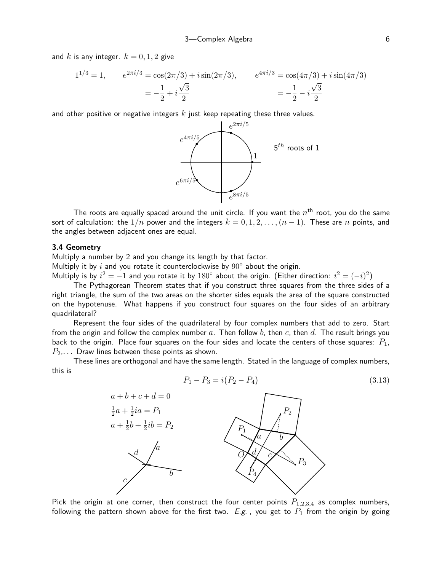and k is any integer.  $k = 0, 1, 2$  give

$$
1^{1/3} = 1, \qquad e^{2\pi i/3} = \cos(2\pi/3) + i\sin(2\pi/3), \qquad e^{4\pi i/3} = \cos(4\pi/3) + i\sin(4\pi/3)
$$

$$
= -\frac{1}{2} + i\frac{\sqrt{3}}{2} \qquad \qquad = -\frac{1}{2} - i\frac{\sqrt{3}}{2}
$$

and other positive or negative integers  $k$  just keep repeating these three values.



The roots are equally spaced around the unit circle. If you want the  $n^{\rm th}$  root, you do the same sort of calculation: the  $1/n$  power and the integers  $k = 0, 1, 2, \ldots, (n - 1)$ . These are n points, and the angles between adjacent ones are equal.

#### 3.4 Geometry

Multiply a number by 2 and you change its length by that factor.

Multiply it by i and you rotate it counterclockwise by  $90^{\circ}$  about the origin.

Multiply is by  $i^2 = -1$  and you rotate it by  $180^\circ$  about the origin. (Either direction:  $i^2 = (-i)^2$ )

The Pythagorean Theorem states that if you construct three squares from the three sides of a right triangle, the sum of the two areas on the shorter sides equals the area of the square constructed on the hypotenuse. What happens if you construct four squares on the four sides of an arbitrary quadrilateral?

Represent the four sides of the quadrilateral by four complex numbers that add to zero. Start from the origin and follow the complex number a. Then follow b, then c, then d. The result brings you back to the origin. Place four squares on the four sides and locate the centers of those squares:  $P_1$ ,  $P_2$ ,... Draw lines between these points as shown.

These lines are orthogonal and have the same length. Stated in the language of complex numbers, this is

<span id="page-5-0"></span>
$$
P_1 - P_3 = i(P_2 - P_4) \tag{3.13}
$$



Pick the origin at one corner, then construct the four center points  $P_{1,2,3,4}$  as complex numbers, following the pattern shown above for the first two. E.g., you get to  $P_1$  from the origin by going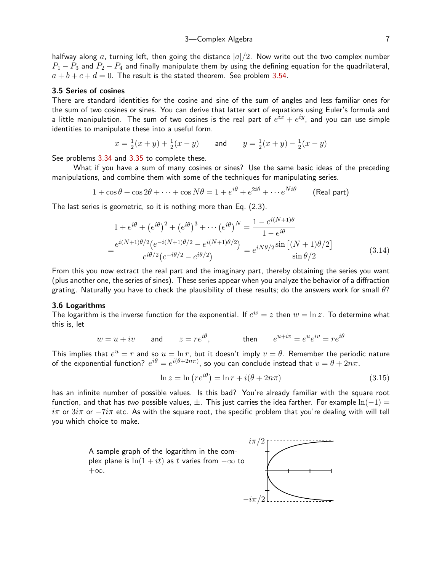halfway along a, turning left, then going the distance  $|a|/2$ . Now write out the two complex number  $P_1 - P_3$  and  $P_2 - P_4$  and finally manipulate them by using the defining equation for the quadrilateral,  $a + b + c + d = 0$ . The result is the stated theorem. See problem [3.54](#page-14-0).

#### 3.5 Series of cosines

There are standard identities for the cosine and sine of the sum of angles and less familiar ones for the sum of two cosines or sines. You can derive that latter sort of equations using Euler's formula and a little manipulation. The sum of two cosines is the real part of  $e^{ix}+e^{iy}$ , and you can use simple identities to manipulate these into a useful form.

$$
x = \frac{1}{2}(x+y) + \frac{1}{2}(x-y)
$$
 and  $y = \frac{1}{2}(x+y) - \frac{1}{2}(x-y)$ 

See problems [3.34](#page-12-0) and [3.35](#page-12-1) to complete these.

What if you have a sum of many cosines or sines? Use the same basic ideas of the preceding manipulations, and combine them with some of the techniques for manipulating series.

$$
1 + \cos \theta + \cos 2\theta + \dots + \cos N\theta = 1 + e^{i\theta} + e^{2i\theta} + \dots + e^{Ni\theta}
$$
 (Real part)

The last series is geometric, so it is nothing more than Eq. (2.3).

$$
1 + e^{i\theta} + (e^{i\theta})^2 + (e^{i\theta})^3 + \dots + (e^{i\theta})^N = \frac{1 - e^{i(N+1)\theta}}{1 - e^{i\theta}}
$$

$$
= \frac{e^{i(N+1)\theta/2} (e^{-i(N+1)\theta/2} - e^{i(N+1)\theta/2})}{e^{i\theta/2} (e^{-i\theta/2} - e^{i\theta/2})} = e^{iN\theta/2} \frac{\sin[(N+1)\theta/2]}{\sin(\theta/2)}
$$
(3.14)

From this you now extract the real part and the imaginary part, thereby obtaining the series you want (plus another one, the series of sines). These series appear when you analyze the behavior of a diffraction grating. Naturally you have to check the plausibility of these results; do the answers work for small  $\theta$ ?

#### 3.6 Logarithms

The logarithm is the inverse function for the exponential. If  $e^w = z$  then  $w = \ln z$ . To determine what this is, let

$$
w = u + iv
$$
 and  $z = re^{i\theta}$ , then  $e^{u+iv} = e^u e^{iv} = re^{i\theta}$ 

This implies that  $e^u=r$  and so  $u=\ln r$ , but it doesn't imply  $v=\theta.$  Remember the periodic nature of the exponential function?  $e^{i\theta}=e^{i(\theta+2n\pi)},$  so you can conclude instead that  $v=\theta+2n\pi.$ 

<span id="page-6-1"></span><span id="page-6-0"></span>
$$
\ln z = \ln \left( re^{i\theta} \right) = \ln r + i(\theta + 2n\pi) \tag{3.15}
$$

has an infinite number of possible values. Is this bad? You're already familiar with the square root function, and that has two possible values,  $\pm$ . This just carries the idea farther. For example  $\ln(-1)$  = iπ or  $3i\pi$  or  $-i\pi$  etc. As with the square root, the specific problem that you're dealing with will tell you which choice to make.

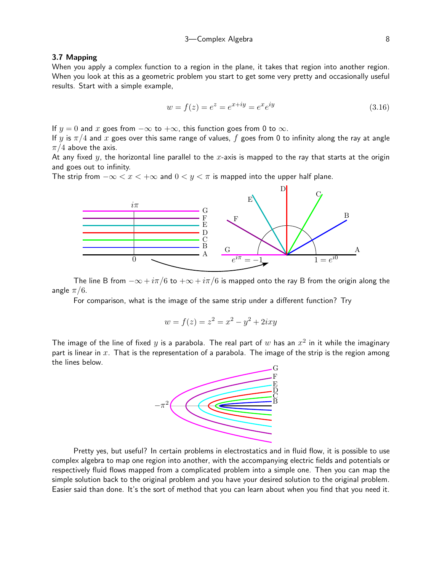# 3.7 Mapping

When you apply a complex function to a region in the plane, it takes that region into another region. When you look at this as a geometric problem you start to get some very pretty and occasionally useful results. Start with a simple example,

<span id="page-7-0"></span>
$$
w = f(z) = e^{z} = e^{x+iy} = e^{x}e^{iy}
$$
\n(3.16)

If  $y = 0$  and x goes from  $-\infty$  to  $+\infty$ , this function goes from 0 to  $\infty$ .

If y is  $\pi/4$  and x goes over this same range of values, f goes from 0 to infinity along the ray at angle  $\pi/4$  above the axis.

At any fixed  $y$ , the horizontal line parallel to the  $x$ -axis is mapped to the ray that starts at the origin and goes out to infinity.

The strip from  $-\infty < x < +\infty$  and  $0 < y < \pi$  is mapped into the upper half plane.



The line B from  $-\infty + i\pi/6$  to  $+\infty + i\pi/6$  is mapped onto the ray B from the origin along the angle  $\pi/6$ .

For comparison, what is the image of the same strip under a different function? Try

$$
w = f(z) = z^2 = x^2 - y^2 + 2ixy
$$

The image of the line of fixed  $y$  is a parabola. The real part of  $w$  has an  $x^2$  in it while the imaginary part is linear in  $x$ . That is the representation of a parabola. The image of the strip is the region among the lines below.



Pretty yes, but useful? In certain problems in electrostatics and in fluid flow, it is possible to use complex algebra to map one region into another, with the accompanying electric fields and potentials or respectively fluid flows mapped from a complicated problem into a simple one. Then you can map the simple solution back to the original problem and you have your desired solution to the original problem. Easier said than done. It's the sort of method that you can learn about when you find that you need it.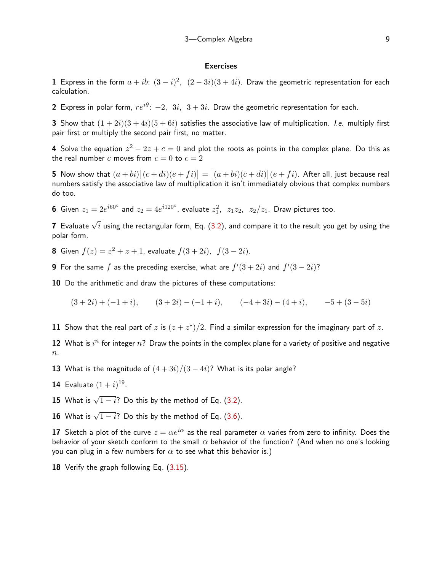#### **Exercises**

1 Express in the form  $a+ib$ :  $(3-i)^2$ ,  $(2-3i)(3+4i)$ . Draw the geometric representation for each calculation.

2 Express in polar form,  $re^{i\theta}$ :  $-2$ ,  $3i$ ,  $3+3i$ . Draw the geometric representation for each.

**3** Show that  $(1+2i)(3+4i)(5+6i)$  satisfies the associative law of multiplication. *I.e.* multiply first pair first or multiply the second pair first, no matter.

4 Solve the equation  $z^2-2z+c=0$  and plot the roots as points in the complex plane. Do this as the real number c moves from  $c = 0$  to  $c = 2$ 

**5** Now show that  $(a+bi){[c+di)(e+fi)} = [(a+bi)(c+di)](e+fi)$ . After all, just because real numbers satisfy the associative law of multiplication it isn't immediately obvious that complex numbers do too.

**6** Given  $z_1 = 2e^{i60^\circ}$  and  $z_2 = 4e^{i120^\circ}$ , evaluate  $z_1^2$ ,  $z_1z_2$ ,  $z_2/z_1$ . Draw pictures too.

 $\bf 7$  Evaluate  $\sqrt{i}$  using the rectangular form, Eq. [\(3.2\)](#page-1-0), and compare it to the result you get by using the polar form.

**8** Given  $f(z) = z^2 + z + 1$ , evaluate  $f(3 + 2i)$ ,  $f(3 - 2i)$ .

**9** For the same  $f$  as the preceding exercise, what are  $f'(3+2i)$  and  $f'(3-2i)$ ?

10 Do the arithmetic and draw the pictures of these computations:

 $(3+2i) + (-1+i),$   $(3+2i) - (-1+i),$   $(-4+3i) - (4+i),$   $-5+(3-5i)$ 

11 Show that the real part of z is  $(z + z^*)/2$ . Find a similar expression for the imaginary part of z.

12 What is  $i^n$  for integer  $n$ ? Draw the points in the complex plane for a variety of positive and negative  $n$ .

13 What is the magnitude of  $(4+3i)/(3-4i)$ ? What is its polar angle?

**14** Evaluate  $(1 + i)^{19}$ .

**15** What is  $\sqrt{1-i}$ ? Do this by the method of Eq. ([3.2\)](#page-1-0).

**16** What is  $\sqrt{1-i}$ ? Do this by the method of Eq. ([3.6\)](#page-2-0).

17 Sketch a plot of the curve  $z = \alpha e^{i\alpha}$  as the real parameter  $\alpha$  varies from zero to infinity. Does the behavior of your sketch conform to the small  $\alpha$  behavior of the function? (And when no one's looking you can plug in a few numbers for  $\alpha$  to see what this behavior is.)

18 Verify the graph following Eq. ([3.15](#page-6-0)).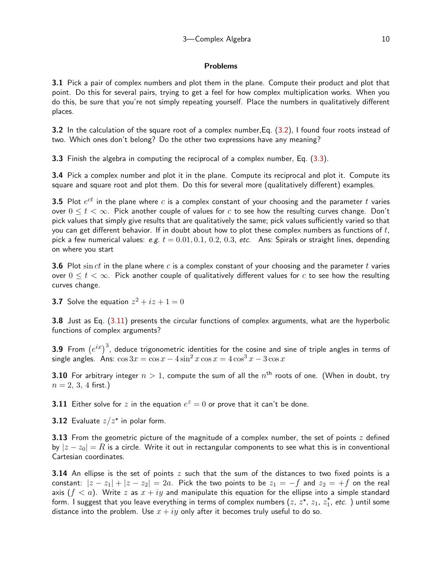# Problems

3.1 Pick a pair of complex numbers and plot them in the plane. Compute their product and plot that point. Do this for several pairs, trying to get a feel for how complex multiplication works. When you do this, be sure that you're not simply repeating yourself. Place the numbers in qualitatively different places.

<span id="page-9-0"></span>3.2 In the calculation of the square root of a complex number,Eq. [\(3.2\)](#page-1-0), I found four roots instead of two. Which ones don't belong? Do the other two expressions have any meaning?

<span id="page-9-1"></span>3.3 Finish the algebra in computing the reciprocal of a complex number, Eq. [\(3.3\)](#page-2-1).

3.4 Pick a complex number and plot it in the plane. Compute its reciprocal and plot it. Compute its square and square root and plot them. Do this for several more (qualitatively different) examples.

**3.5** Plot  $e^{ct}$  in the plane where  $c$  is a complex constant of your choosing and the parameter  $t$  varies over  $0 \le t \le \infty$ . Pick another couple of values for c to see how the resulting curves change. Don't pick values that simply give results that are qualitatively the same; pick values sufficiently varied so that you can get different behavior. If in doubt about how to plot these complex numbers as functions of  $t$ , pick a few numerical values: e.g.  $t = 0.01, 0.1, 0.2, 0.3$ , etc. Ans: Spirals or straight lines, depending on where you start

**3.6** Plot sin ct in the plane where c is a complex constant of your choosing and the parameter t varies over  $0 \le t \le \infty$ . Pick another couple of qualitatively different values for c to see how the resulting curves change.

**3.7** Solve the equation  $z^2 + iz + 1 = 0$ 

3.8 Just as Eq. [\(3.11](#page-3-2)) presents the circular functions of complex arguments, what are the hyperbolic functions of complex arguments?

**3.9** From  $(e^{ix})^3$ , deduce trigonometric identities for the cosine and sine of triple angles in terms of single angles. Ans:  $\cos 3x = \cos x - 4 \sin^2 x \cos x = 4 \cos^3 x - 3 \cos x$ 

**3.10** For arbitrary integer  $n>1$ , compute the sum of all the  $n^{\text{th}}$  roots of one. (When in doubt, try  $n = 2, 3, 4$  first.)

**3.11** Either solve for z in the equation  $e^z = 0$  or prove that it can't be done.

**3.12** Evaluate  $z/z^*$  in polar form.

**3.13** From the geometric picture of the magnitude of a complex number, the set of points  $z$  defined by  $|z - z_0| = R$  is a circle. Write it out in rectangular components to see what this is in conventional Cartesian coordinates.

**3.14** An ellipse is the set of points z such that the sum of the distances to two fixed points is a constant:  $|z - z_1| + |z - z_2| = 2a$ . Pick the two points to be  $z_1 = -f$  and  $z_2 = +f$  on the real axis  $(f < a)$ . Write z as  $x + iy$  and manipulate this equation for the ellipse into a simple standard form. I suggest that you leave everything in terms of complex numbers  $(z,\,z^*,\,z_1,\,z_1^*,\,etc.\,$  ) until some distance into the problem. Use  $x + iy$  only after it becomes truly useful to do so.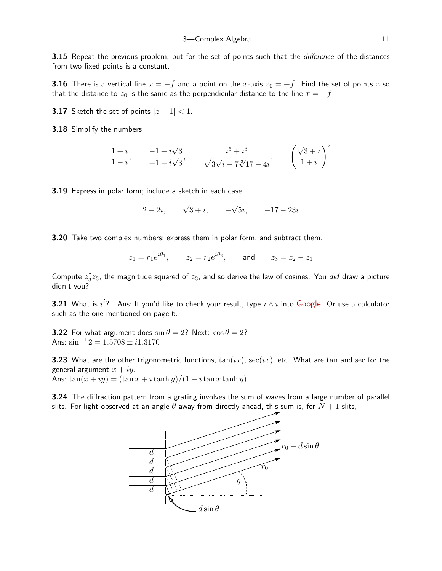**3.15** Repeat the previous problem, but for the set of points such that the *difference* of the distances from two fixed points is a constant.

**3.16** There is a vertical line  $x = -f$  and a point on the x-axis  $z_0 = +f$ . Find the set of points z so that the distance to  $z_0$  is the same as the perpendicular distance to the line  $x = -f$ .

**3.17** Sketch the set of points  $|z-1| < 1$ .

3.18 Simplify the numbers

$$
\frac{1+i}{1-i}, \qquad \frac{-1+i\sqrt{3}}{+1+i\sqrt{3}}, \qquad \frac{i^5+i^3}{\sqrt{3\sqrt{i}-7\sqrt[3]{17-4i}}}, \qquad \left(\frac{\sqrt{3}+i}{1+i}\right)^2
$$

3.19 Express in polar form; include a sketch in each case.

 $2-2i, \quad \sqrt{3}+i, \quad -$ √  $\overline{5}i, -17 - 23i$ 

**3.20** Take two complex numbers; express them in polar form, and subtract them.

$$
z_1 = r_1 e^{i\theta_1}
$$
,  $z_2 = r_2 e^{i\theta_2}$ , and  $z_3 = z_2 - z_1$ 

Compute  $z_3^*z_3$ , the magnitude squared of  $z_3$ , and so derive the law of cosines. You did draw a picture didn't you?

3.21 What is  $i^i$ ? Ans: If you'd like to check your result, type  $i\wedge i$  into [Google](http://www.google.com). Or use a calculator such as the one mentioned on page 6.

**3.22** For what argument does  $\sin \theta = 2$ ? Next:  $\cos \theta = 2$ ? Ans:  $\sin^{-1} 2 = 1.5708 \pm i 1.3170$ 

**3.23** What are the other trigonometric functions,  $tan(ix)$ ,  $sec(ix)$ , etc. What are tan and sec for the general argument  $x + iy$ .

Ans:  $\tan(x + iy) = (\tan x + i \tanh y)/(1 - i \tan x \tanh y)$ 

3.24 The diffraction pattern from a grating involves the sum of waves from a large number of parallel slits. For light observed at an angle  $\theta$  away from directly ahead, this sum is, for  $N+1$  slits,

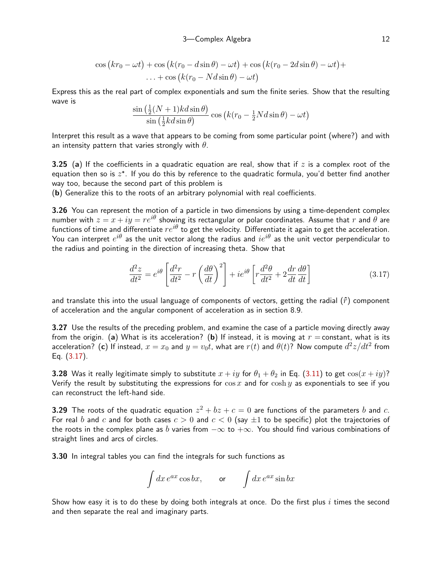$$
\cos\left(kr_0 - \omega t\right) + \cos\left(k(r_0 - d\sin\theta) - \omega t\right) + \cos\left(k(r_0 - 2d\sin\theta) - \omega t\right) + \dots + \cos\left(k(r_0 - Nd\sin\theta) - \omega t\right)
$$

Express this as the real part of complex exponentials and sum the finite series. Show that the resulting wave is

$$
\frac{\sin\left(\frac{1}{2}(N+1)kd\sin\theta\right)}{\sin\left(\frac{1}{2}kd\sin\theta\right)}\cos\left(k(r_0-\frac{1}{2}Nd\sin\theta)-\omega t\right)
$$

Interpret this result as a wave that appears to be coming from some particular point (where?) and with an intensity pattern that varies strongly with  $\theta$ .

<span id="page-11-1"></span>**3.25** (a) If the coefficients in a quadratic equation are real, show that if z is a complex root of the equation then so is  $z^*$ . If you do this by reference to the quadratic formula, you'd better find another way too, because the second part of this problem is

(b) Generalize this to the roots of an arbitrary polynomial with real coefficients.

3.26 You can represent the motion of a particle in two dimensions by using a time-dependent complex number with  $z = x + iy = re^{i\theta}$  showing its rectangular or polar coordinates. Assume that r and  $\theta$  are functions of time and differentiate  $re^{i\theta}$  to get the velocity. Differentiate it again to get the acceleration. You can interpret  $e^{i\theta}$  as the unit vector along the radius and  $ie^{i\theta}$  as the unit vector perpendicular to the radius and pointing in the direction of increasing theta. Show that

<span id="page-11-0"></span>
$$
\frac{d^2z}{dt^2} = e^{i\theta} \left[ \frac{d^2r}{dt^2} - r \left( \frac{d\theta}{dt} \right)^2 \right] + ie^{i\theta} \left[ r \frac{d^2\theta}{dt^2} + 2 \frac{dr}{dt} \frac{d\theta}{dt} \right]
$$
(3.17)

and translate this into the usual language of components of vectors, getting the radial  $(\hat{r})$  component of acceleration and the angular component of acceleration as in section 8.9.

3.27 Use the results of the preceding problem, and examine the case of a particle moving directly away from the origin. (a) What is its acceleration? (b) If instead, it is moving at  $r =$  constant, what is its acceleration? (c) If instead,  $x=x_0$  and  $y=v_0t$ , what are  $r(t)$  and  $\theta(t)$ ? Now compute  $d^2z/dt^2$  from Eq. [\(3.17](#page-11-0)).

**3.28** Was it really legitimate simply to substitute  $x + iy$  for  $\theta_1 + \theta_2$  in Eq. ([3.11](#page-3-2)) to get  $\cos(x + iy)$ ? Verify the result by substituting the expressions for  $\cos x$  and for  $\cosh y$  as exponentials to see if you can reconstruct the left-hand side.

**3.29** The roots of the quadratic equation  $z^2 + bz + c = 0$  are functions of the parameters  $b$  and  $c$ . For real b and c and for both cases  $c > 0$  and  $c < 0$  (say  $\pm 1$  to be specific) plot the trajectories of the roots in the complex plane as b varies from  $-\infty$  to  $+\infty$ . You should find various combinations of straight lines and arcs of circles.

3.30 In integral tables you can find the integrals for such functions as

$$
\int dx e^{ax} \cos bx, \qquad \text{or} \qquad \int dx e^{ax} \sin bx
$$

Show how easy it is to do these by doing both integrals at once. Do the first plus i times the second and then separate the real and imaginary parts.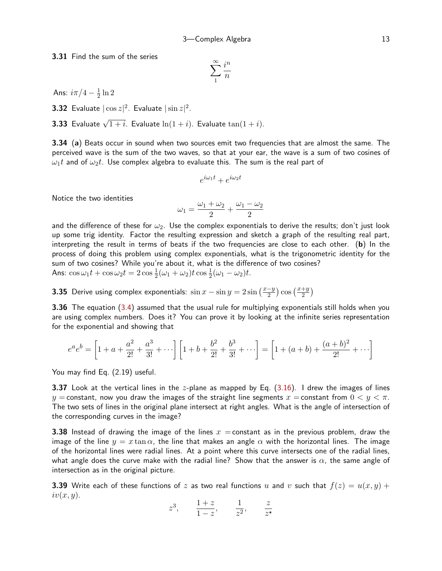3.31 Find the sum of the series

$$
\sum_{1}^{\infty} \frac{i^n}{n}
$$

Ans:  $i\pi/4-\frac{1}{2}$  $\frac{1}{2} \ln 2$ 

**3.32** Evaluate  $|\cos z|^2$ . Evaluate  $|\sin z|^2$ .

**3.33** Evaluate  $\sqrt{1+i}$ . Evaluate  $\ln(1+i)$ . Evaluate  $\tan(1+i)$ .

<span id="page-12-0"></span>3.34 (a) Beats occur in sound when two sources emit two frequencies that are almost the same. The perceived wave is the sum of the two waves, so that at your ear, the wave is a sum of two cosines of  $\omega_1 t$  and of  $\omega_2 t$ . Use complex algebra to evaluate this. The sum is the real part of

$$
e^{i\omega_1 t} + e^{i\omega_2 t}
$$

Notice the two identities

$$
\omega_1=\frac{\omega_1+\omega_2}{2}+\frac{\omega_1-\omega_2}{2}
$$

and the difference of these for  $\omega_2$ . Use the complex exponentials to derive the results; don't just look up some trig identity. Factor the resulting expression and sketch a graph of the resulting real part, interpreting the result in terms of beats if the two frequencies are close to each other. (b) In the process of doing this problem using complex exponentials, what is the trigonometric identity for the sum of two cosines? While you're about it, what is the difference of two cosines? Ans:  $\cos \omega_1 t + \cos \omega_2 t = 2 \cos \frac{1}{2} (\omega_1 + \omega_2) t \cos \frac{1}{2} (\omega_1 - \omega_2) t$ .

<span id="page-12-1"></span>**3.35** Derive using complex exponentials:  $\sin x - \sin y = 2 \sin \left( \frac{x-y}{2} \right) \cos \left( \frac{x+y}{2} \right)$ 

3.36 The equation ([3.4\)](#page-2-2) assumed that the usual rule for multiplying exponentials still holds when you are using complex numbers. Does it? You can prove it by looking at the infinite series representation for the exponential and showing that

$$
e^{a}e^{b} = \left[1 + a + \frac{a^{2}}{2!} + \frac{a^{3}}{3!} + \cdots\right] \left[1 + b + \frac{b^{2}}{2!} + \frac{b^{3}}{3!} + \cdots\right] = \left[1 + (a+b) + \frac{(a+b)^{2}}{2!} + \cdots\right]
$$

You may find Eq. (2.19) useful.

**3.37** Look at the vertical lines in the  $z$ -plane as mapped by Eq.  $(3.16)$  $(3.16)$ . I drew the images of lines y = constant, now you draw the images of the straight line segments  $x =$  constant from  $0 < y < \pi$ . The two sets of lines in the original plane intersect at right angles. What is the angle of intersection of the corresponding curves in the image?

**3.38** Instead of drawing the image of the lines  $x =$  constant as in the previous problem, draw the image of the line  $y = x \tan \alpha$ , the line that makes an angle  $\alpha$  with the horizontal lines. The image of the horizontal lines were radial lines. At a point where this curve intersects one of the radial lines, what angle does the curve make with the radial line? Show that the answer is  $\alpha$ , the same angle of intersection as in the original picture.

**3.39** Write each of these functions of z as two real functions u and v such that  $f(z) = u(x, y) +$  $iv(x, y)$ .

$$
z^3
$$
,  $\frac{1+z}{1-z}$ ,  $\frac{1}{z^2}$ ,  $\frac{z}{z^*}$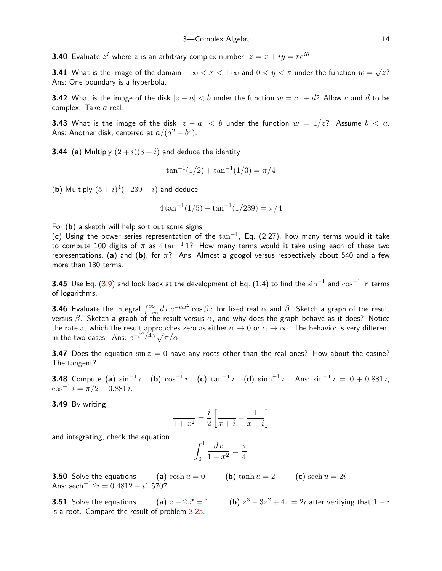**3.40** Evaluate  $z^i$  where  $z$  is an arbitrary complex number,  $z = x + i y = r e^{i \theta}$ .

**3.41** What is the image of the domain  $-\infty < x < +\infty$  and  $0 < y < \pi$  under the function  $w = \sqrt{z}$ ? Ans: One boundary is a hyperbola.

**3.42** What is the image of the disk  $|z - a| < b$  under the function  $w = cz + d$ ? Allow c and d to be complex. Take a real.

**3.43** What is the image of the disk  $|z - a| < b$  under the function  $w = 1/z$ ? Assume  $b < a$ . Ans: Another disk, centered at  $a/(a^2-b^2).$ 

**3.44** (a) Multiply  $(2 + i)(3 + i)$  and deduce the identity

$$
\tan^{-1}(1/2) + \tan^{-1}(1/3) = \pi/4
$$

(b) Multiply  $(5+i)^4(-239+i)$  and deduce

$$
4\tan^{-1}(1/5) - \tan^{-1}(1/239) = \pi/4
$$

For (b) a sketch will help sort out some signs.

(c) Using the power series representation of the  $\tan^{-1}$ , Eq. (2.27), how many terms would it take to compute 100 digits of  $\pi$  as  $4 \tan^{-1} 1$ ? How many terms would it take using each of these two representations, (a) and (b), for  $\pi$ ? Ans: Almost a googol versus respectively about 540 and a few more than 180 terms.

**3.45** Use Eq. [\(3.9\)](#page-3-1) and look back at the development of Eq. (1.4) to find the  $\sin^{-1}$  and  $\cos^{-1}$  in terms of logarithms.

**3.46** Evaluate the integral  $\int_{-\infty}^{\infty}dx\,e^{-\alpha x^2}\cos\beta x$  for fixed real  $\alpha$  and  $\beta$ . Sketch a graph of the result versus  $\beta$ . Sketch a graph of the result versus  $\alpha$ , and why does the graph behave as it does? Notice the rate at which the result approaches zero as either  $\alpha \to 0$  or  $\alpha \to \infty$ . The behavior is very different in the two cases. Ans:  $e^{-\beta^2/4\alpha}\sqrt{\pi/\alpha}$ 

**3.47** Does the equation  $\sin z = 0$  have any roots other than the real ones? How about the cosine? The tangent?

**3.48** Compute (a)  $\sin^{-1}i$ . (b)  $\cos^{-1}i$ . (c)  $\tan^{-1}i$ . (d)  $\sinh^{-1}i$ . Ans:  $\sin^{-1}i = 0 + 0.881i$ ,  $\cos^{-1} i = \pi/2 - 0.881 i.$ 

3.49 By writing

$$
\frac{1}{1+x^2} = \frac{i}{2} \left[ \frac{1}{x+i} - \frac{1}{x-i} \right]
$$

and integrating, check the equation

$$
\int_0^1 \frac{dx}{1+x^2} = \frac{\pi}{4}
$$

**3.50** Solve the equations (a)  $\cosh u = 0$  (b)  $\tanh u = 2$  (c)  $\operatorname{sech} u = 2i$ Ans:  ${\rm sech}^{-1} \, 2i = 0.4812 - i 1.5707$ 

**3.51** Solve the equations (a)  $z - 2z^* = 1$ is a root. Compare the result of problem [3.25](#page-11-1).

 $\beta^3-3z^2+4z=2i$  after verifying that  $1+i$